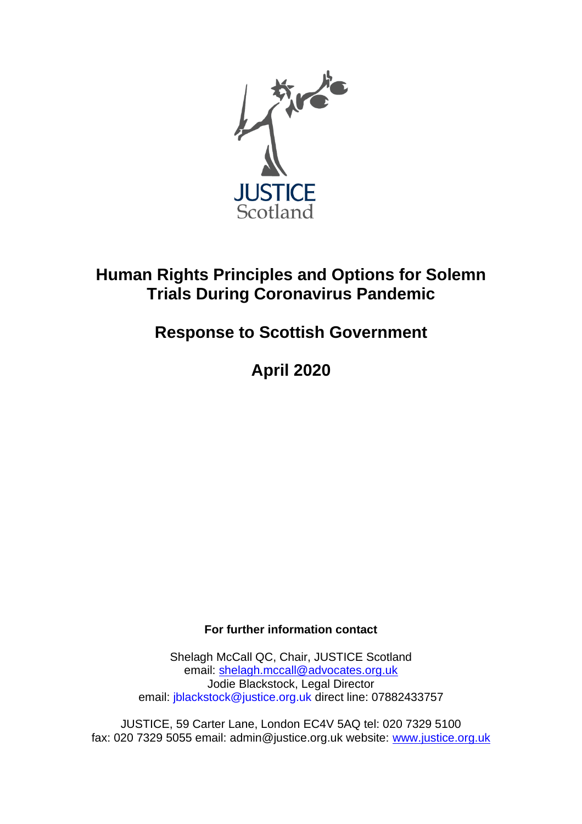

# **Human Rights Principles and Options for Solemn Trials During Coronavirus Pandemic**

# **Response to Scottish Government**

**April 2020**

**For further information contact**

Shelagh McCall QC, Chair, JUSTICE Scotland email: [shelagh.mccall@advocates.org.uk](mailto:shelagh.mccall@advocates.org.uk) Jodie Blackstock, Legal Director email: jblackstock@justice.org.uk direct line: 07882433757

JUSTICE, 59 Carter Lane, London EC4V 5AQ tel: 020 7329 5100 fax: 020 7329 5055 email: admin@justice.org.uk website: [www.justice.org.uk](http://www.justice.org.uk/)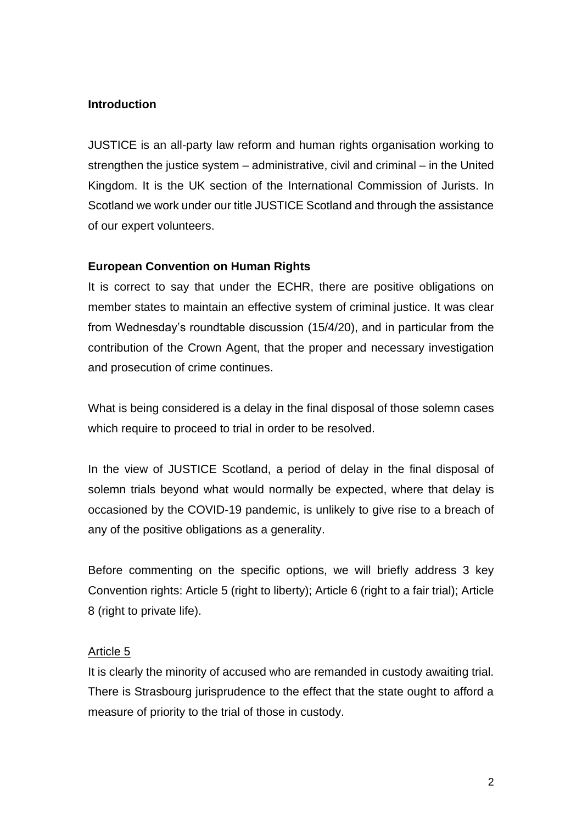#### **Introduction**

JUSTICE is an all-party law reform and human rights organisation working to strengthen the justice system – administrative, civil and criminal – in the United Kingdom. It is the UK section of the International Commission of Jurists. In Scotland we work under our title JUSTICE Scotland and through the assistance of our expert volunteers.

#### **European Convention on Human Rights**

It is correct to say that under the ECHR, there are positive obligations on member states to maintain an effective system of criminal justice. It was clear from Wednesday's roundtable discussion (15/4/20), and in particular from the contribution of the Crown Agent, that the proper and necessary investigation and prosecution of crime continues.

What is being considered is a delay in the final disposal of those solemn cases which require to proceed to trial in order to be resolved.

In the view of JUSTICE Scotland, a period of delay in the final disposal of solemn trials beyond what would normally be expected, where that delay is occasioned by the COVID-19 pandemic, is unlikely to give rise to a breach of any of the positive obligations as a generality.

Before commenting on the specific options, we will briefly address 3 key Convention rights: Article 5 (right to liberty); Article 6 (right to a fair trial); Article 8 (right to private life).

#### Article 5

It is clearly the minority of accused who are remanded in custody awaiting trial. There is Strasbourg jurisprudence to the effect that the state ought to afford a measure of priority to the trial of those in custody.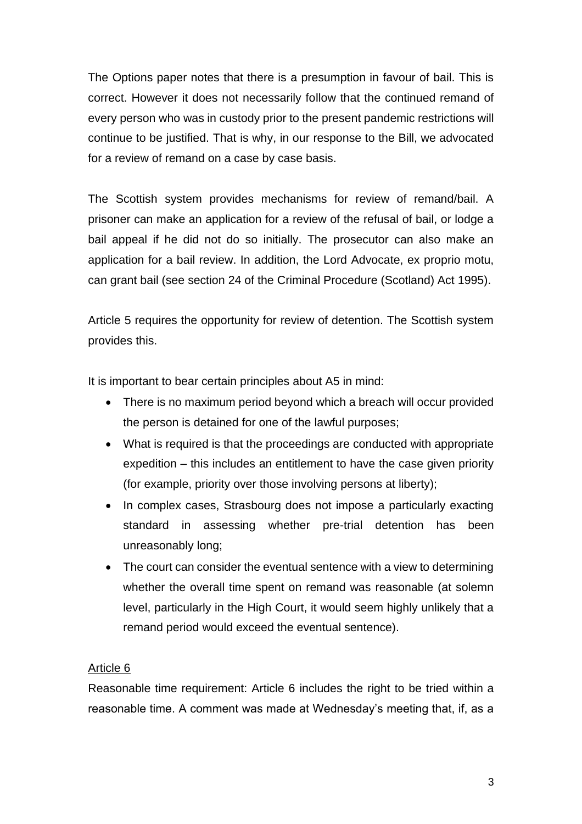The Options paper notes that there is a presumption in favour of bail. This is correct. However it does not necessarily follow that the continued remand of every person who was in custody prior to the present pandemic restrictions will continue to be justified. That is why, in our response to the Bill, we advocated for a review of remand on a case by case basis.

The Scottish system provides mechanisms for review of remand/bail. A prisoner can make an application for a review of the refusal of bail, or lodge a bail appeal if he did not do so initially. The prosecutor can also make an application for a bail review. In addition, the Lord Advocate, ex proprio motu, can grant bail (see section 24 of the Criminal Procedure (Scotland) Act 1995).

Article 5 requires the opportunity for review of detention. The Scottish system provides this.

It is important to bear certain principles about A5 in mind:

- There is no maximum period beyond which a breach will occur provided the person is detained for one of the lawful purposes;
- What is required is that the proceedings are conducted with appropriate expedition – this includes an entitlement to have the case given priority (for example, priority over those involving persons at liberty);
- In complex cases, Strasbourg does not impose a particularly exacting standard in assessing whether pre-trial detention has been unreasonably long;
- The court can consider the eventual sentence with a view to determining whether the overall time spent on remand was reasonable (at solemn level, particularly in the High Court, it would seem highly unlikely that a remand period would exceed the eventual sentence).

### Article 6

Reasonable time requirement: Article 6 includes the right to be tried within a reasonable time. A comment was made at Wednesday's meeting that, if, as a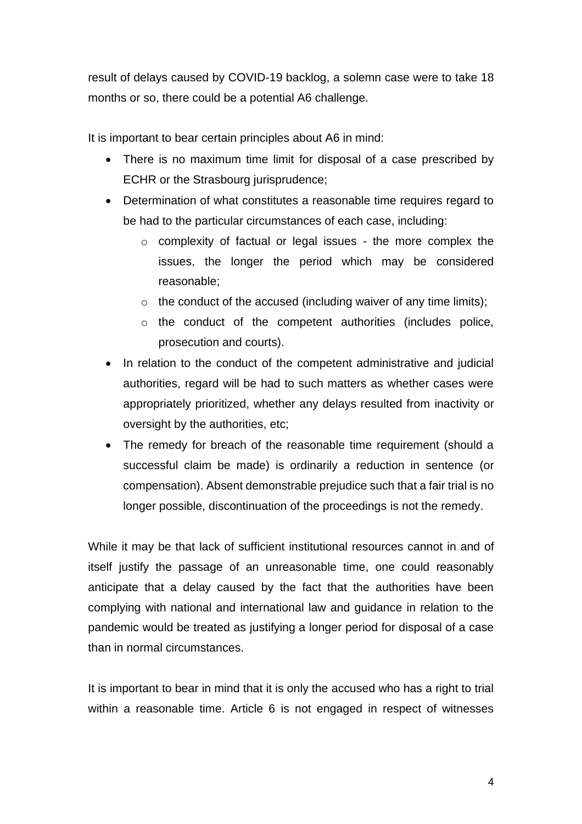result of delays caused by COVID-19 backlog, a solemn case were to take 18 months or so, there could be a potential A6 challenge.

It is important to bear certain principles about A6 in mind:

- There is no maximum time limit for disposal of a case prescribed by ECHR or the Strasbourg jurisprudence;
- Determination of what constitutes a reasonable time requires regard to be had to the particular circumstances of each case, including:
	- o complexity of factual or legal issues the more complex the issues, the longer the period which may be considered reasonable;
	- $\circ$  the conduct of the accused (including waiver of any time limits);
	- o the conduct of the competent authorities (includes police, prosecution and courts).
- In relation to the conduct of the competent administrative and judicial authorities, regard will be had to such matters as whether cases were appropriately prioritized, whether any delays resulted from inactivity or oversight by the authorities, etc;
- The remedy for breach of the reasonable time requirement (should a successful claim be made) is ordinarily a reduction in sentence (or compensation). Absent demonstrable prejudice such that a fair trial is no longer possible, discontinuation of the proceedings is not the remedy.

While it may be that lack of sufficient institutional resources cannot in and of itself justify the passage of an unreasonable time, one could reasonably anticipate that a delay caused by the fact that the authorities have been complying with national and international law and guidance in relation to the pandemic would be treated as justifying a longer period for disposal of a case than in normal circumstances.

It is important to bear in mind that it is only the accused who has a right to trial within a reasonable time. Article 6 is not engaged in respect of witnesses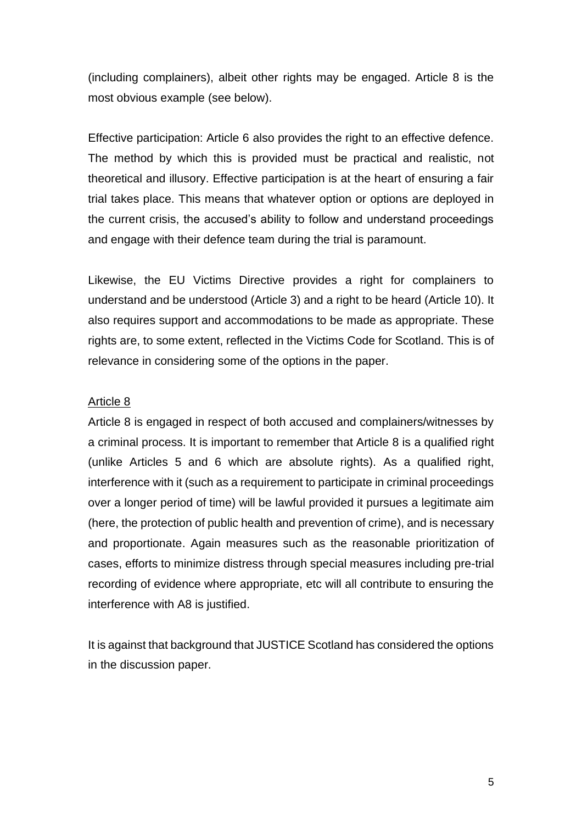(including complainers), albeit other rights may be engaged. Article 8 is the most obvious example (see below).

Effective participation: Article 6 also provides the right to an effective defence. The method by which this is provided must be practical and realistic, not theoretical and illusory. Effective participation is at the heart of ensuring a fair trial takes place. This means that whatever option or options are deployed in the current crisis, the accused's ability to follow and understand proceedings and engage with their defence team during the trial is paramount.

Likewise, the EU Victims Directive provides a right for complainers to understand and be understood (Article 3) and a right to be heard (Article 10). It also requires support and accommodations to be made as appropriate. These rights are, to some extent, reflected in the Victims Code for Scotland. This is of relevance in considering some of the options in the paper.

#### Article 8

Article 8 is engaged in respect of both accused and complainers/witnesses by a criminal process. It is important to remember that Article 8 is a qualified right (unlike Articles 5 and 6 which are absolute rights). As a qualified right, interference with it (such as a requirement to participate in criminal proceedings over a longer period of time) will be lawful provided it pursues a legitimate aim (here, the protection of public health and prevention of crime), and is necessary and proportionate. Again measures such as the reasonable prioritization of cases, efforts to minimize distress through special measures including pre-trial recording of evidence where appropriate, etc will all contribute to ensuring the interference with A8 is justified.

It is against that background that JUSTICE Scotland has considered the options in the discussion paper.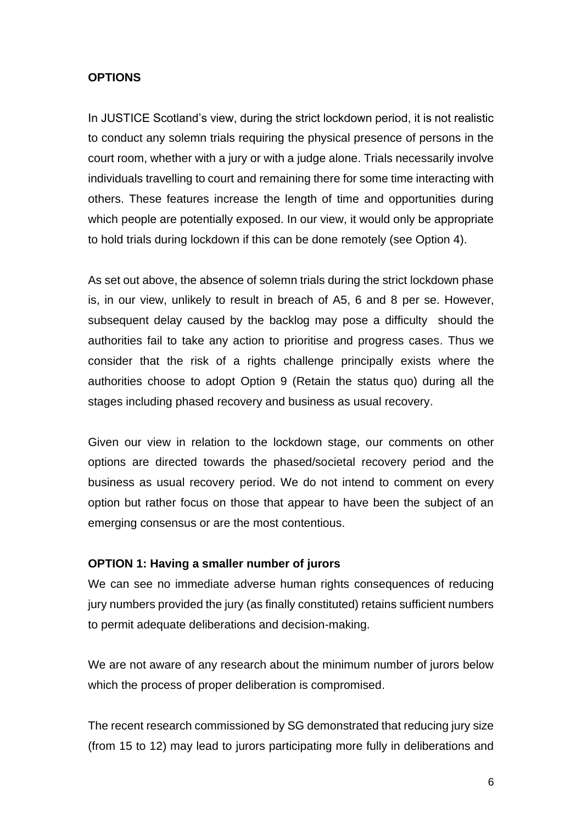#### **OPTIONS**

In JUSTICE Scotland's view, during the strict lockdown period, it is not realistic to conduct any solemn trials requiring the physical presence of persons in the court room, whether with a jury or with a judge alone. Trials necessarily involve individuals travelling to court and remaining there for some time interacting with others. These features increase the length of time and opportunities during which people are potentially exposed. In our view, it would only be appropriate to hold trials during lockdown if this can be done remotely (see Option 4).

As set out above, the absence of solemn trials during the strict lockdown phase is, in our view, unlikely to result in breach of A5, 6 and 8 per se. However, subsequent delay caused by the backlog may pose a difficulty should the authorities fail to take any action to prioritise and progress cases. Thus we consider that the risk of a rights challenge principally exists where the authorities choose to adopt Option 9 (Retain the status quo) during all the stages including phased recovery and business as usual recovery.

Given our view in relation to the lockdown stage, our comments on other options are directed towards the phased/societal recovery period and the business as usual recovery period. We do not intend to comment on every option but rather focus on those that appear to have been the subject of an emerging consensus or are the most contentious.

#### **OPTION 1: Having a smaller number of jurors**

We can see no immediate adverse human rights consequences of reducing jury numbers provided the jury (as finally constituted) retains sufficient numbers to permit adequate deliberations and decision-making.

We are not aware of any research about the minimum number of jurors below which the process of proper deliberation is compromised.

The recent research commissioned by SG demonstrated that reducing jury size (from 15 to 12) may lead to jurors participating more fully in deliberations and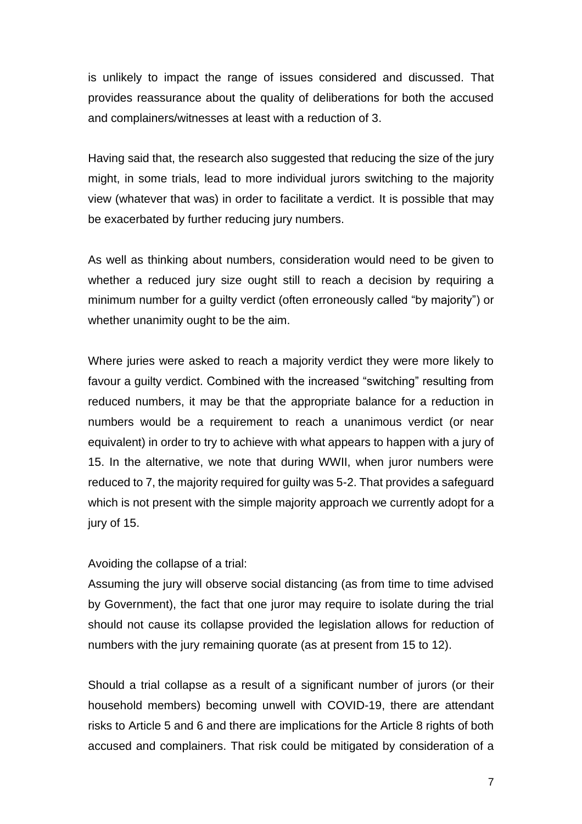is unlikely to impact the range of issues considered and discussed. That provides reassurance about the quality of deliberations for both the accused and complainers/witnesses at least with a reduction of 3.

Having said that, the research also suggested that reducing the size of the jury might, in some trials, lead to more individual jurors switching to the majority view (whatever that was) in order to facilitate a verdict. It is possible that may be exacerbated by further reducing jury numbers.

As well as thinking about numbers, consideration would need to be given to whether a reduced jury size ought still to reach a decision by requiring a minimum number for a guilty verdict (often erroneously called "by majority") or whether unanimity ought to be the aim.

Where juries were asked to reach a majority verdict they were more likely to favour a guilty verdict. Combined with the increased "switching" resulting from reduced numbers, it may be that the appropriate balance for a reduction in numbers would be a requirement to reach a unanimous verdict (or near equivalent) in order to try to achieve with what appears to happen with a jury of 15. In the alternative, we note that during WWII, when juror numbers were reduced to 7, the majority required for guilty was 5-2. That provides a safeguard which is not present with the simple majority approach we currently adopt for a jury of 15.

#### Avoiding the collapse of a trial:

Assuming the jury will observe social distancing (as from time to time advised by Government), the fact that one juror may require to isolate during the trial should not cause its collapse provided the legislation allows for reduction of numbers with the jury remaining quorate (as at present from 15 to 12).

Should a trial collapse as a result of a significant number of jurors (or their household members) becoming unwell with COVID-19, there are attendant risks to Article 5 and 6 and there are implications for the Article 8 rights of both accused and complainers. That risk could be mitigated by consideration of a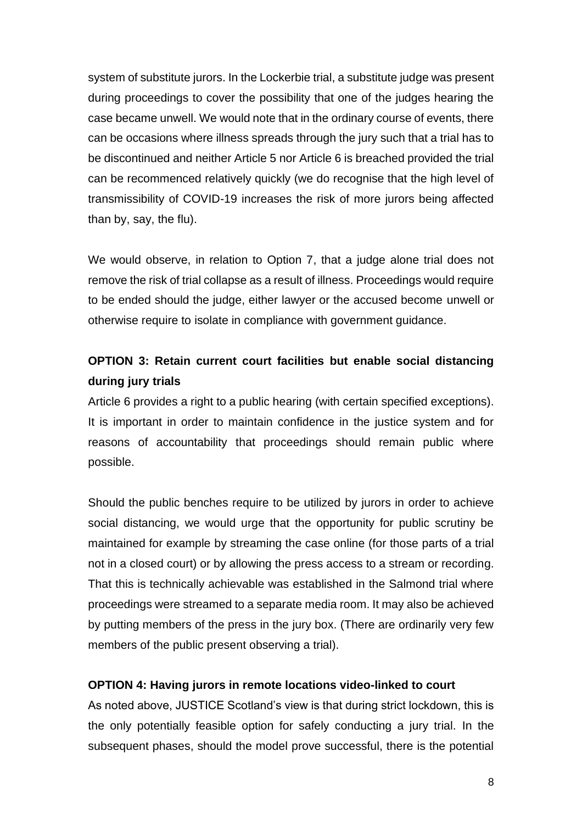system of substitute jurors. In the Lockerbie trial, a substitute judge was present during proceedings to cover the possibility that one of the judges hearing the case became unwell. We would note that in the ordinary course of events, there can be occasions where illness spreads through the jury such that a trial has to be discontinued and neither Article 5 nor Article 6 is breached provided the trial can be recommenced relatively quickly (we do recognise that the high level of transmissibility of COVID-19 increases the risk of more jurors being affected than by, say, the flu).

We would observe, in relation to Option 7, that a judge alone trial does not remove the risk of trial collapse as a result of illness. Proceedings would require to be ended should the judge, either lawyer or the accused become unwell or otherwise require to isolate in compliance with government guidance.

## **OPTION 3: Retain current court facilities but enable social distancing during jury trials**

Article 6 provides a right to a public hearing (with certain specified exceptions). It is important in order to maintain confidence in the justice system and for reasons of accountability that proceedings should remain public where possible.

Should the public benches require to be utilized by jurors in order to achieve social distancing, we would urge that the opportunity for public scrutiny be maintained for example by streaming the case online (for those parts of a trial not in a closed court) or by allowing the press access to a stream or recording. That this is technically achievable was established in the Salmond trial where proceedings were streamed to a separate media room. It may also be achieved by putting members of the press in the jury box. (There are ordinarily very few members of the public present observing a trial).

### **OPTION 4: Having jurors in remote locations video-linked to court**

As noted above, JUSTICE Scotland's view is that during strict lockdown, this is the only potentially feasible option for safely conducting a jury trial. In the subsequent phases, should the model prove successful, there is the potential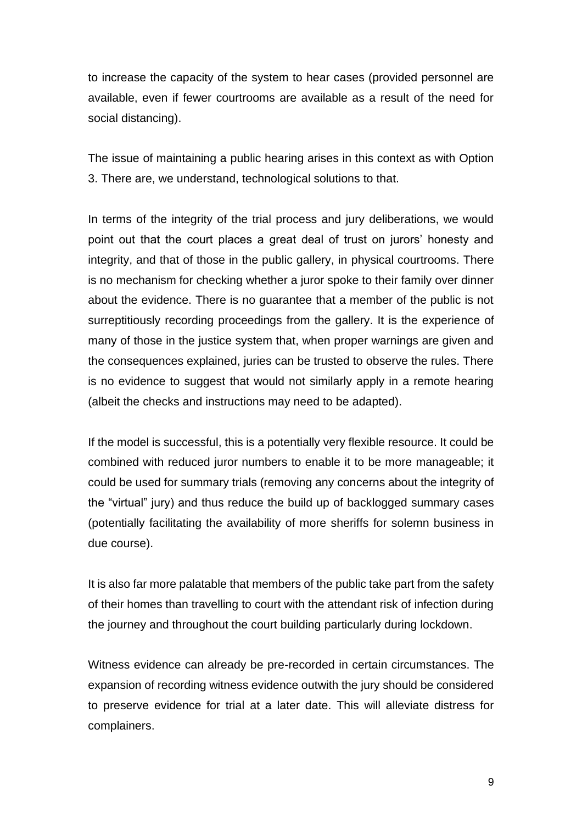to increase the capacity of the system to hear cases (provided personnel are available, even if fewer courtrooms are available as a result of the need for social distancing).

The issue of maintaining a public hearing arises in this context as with Option 3. There are, we understand, technological solutions to that.

In terms of the integrity of the trial process and jury deliberations, we would point out that the court places a great deal of trust on jurors' honesty and integrity, and that of those in the public gallery, in physical courtrooms. There is no mechanism for checking whether a juror spoke to their family over dinner about the evidence. There is no guarantee that a member of the public is not surreptitiously recording proceedings from the gallery. It is the experience of many of those in the justice system that, when proper warnings are given and the consequences explained, juries can be trusted to observe the rules. There is no evidence to suggest that would not similarly apply in a remote hearing (albeit the checks and instructions may need to be adapted).

If the model is successful, this is a potentially very flexible resource. It could be combined with reduced juror numbers to enable it to be more manageable; it could be used for summary trials (removing any concerns about the integrity of the "virtual" jury) and thus reduce the build up of backlogged summary cases (potentially facilitating the availability of more sheriffs for solemn business in due course).

It is also far more palatable that members of the public take part from the safety of their homes than travelling to court with the attendant risk of infection during the journey and throughout the court building particularly during lockdown.

Witness evidence can already be pre-recorded in certain circumstances. The expansion of recording witness evidence outwith the jury should be considered to preserve evidence for trial at a later date. This will alleviate distress for complainers.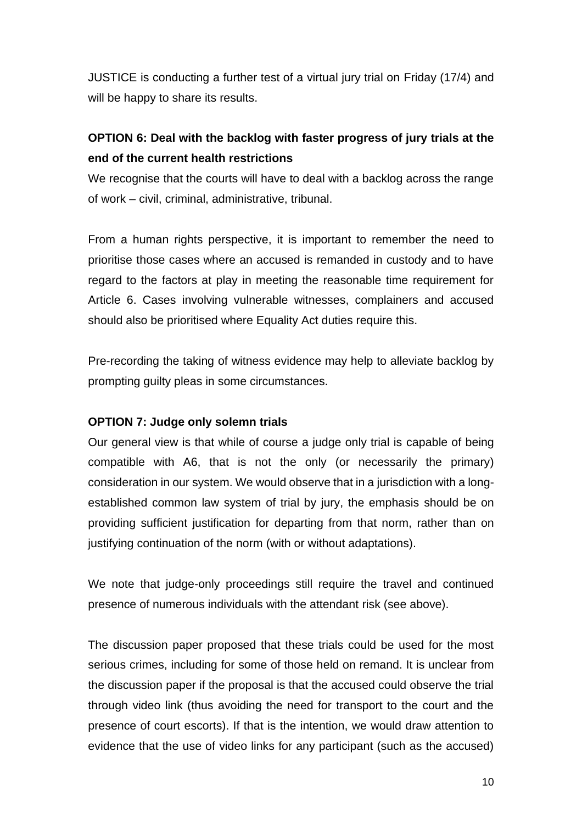JUSTICE is conducting a further test of a virtual jury trial on Friday (17/4) and will be happy to share its results.

## **OPTION 6: Deal with the backlog with faster progress of jury trials at the end of the current health restrictions**

We recognise that the courts will have to deal with a backlog across the range of work – civil, criminal, administrative, tribunal.

From a human rights perspective, it is important to remember the need to prioritise those cases where an accused is remanded in custody and to have regard to the factors at play in meeting the reasonable time requirement for Article 6. Cases involving vulnerable witnesses, complainers and accused should also be prioritised where Equality Act duties require this.

Pre-recording the taking of witness evidence may help to alleviate backlog by prompting guilty pleas in some circumstances.

### **OPTION 7: Judge only solemn trials**

Our general view is that while of course a judge only trial is capable of being compatible with A6, that is not the only (or necessarily the primary) consideration in our system. We would observe that in a jurisdiction with a longestablished common law system of trial by jury, the emphasis should be on providing sufficient justification for departing from that norm, rather than on justifying continuation of the norm (with or without adaptations).

We note that judge-only proceedings still require the travel and continued presence of numerous individuals with the attendant risk (see above).

The discussion paper proposed that these trials could be used for the most serious crimes, including for some of those held on remand. It is unclear from the discussion paper if the proposal is that the accused could observe the trial through video link (thus avoiding the need for transport to the court and the presence of court escorts). If that is the intention, we would draw attention to evidence that the use of video links for any participant (such as the accused)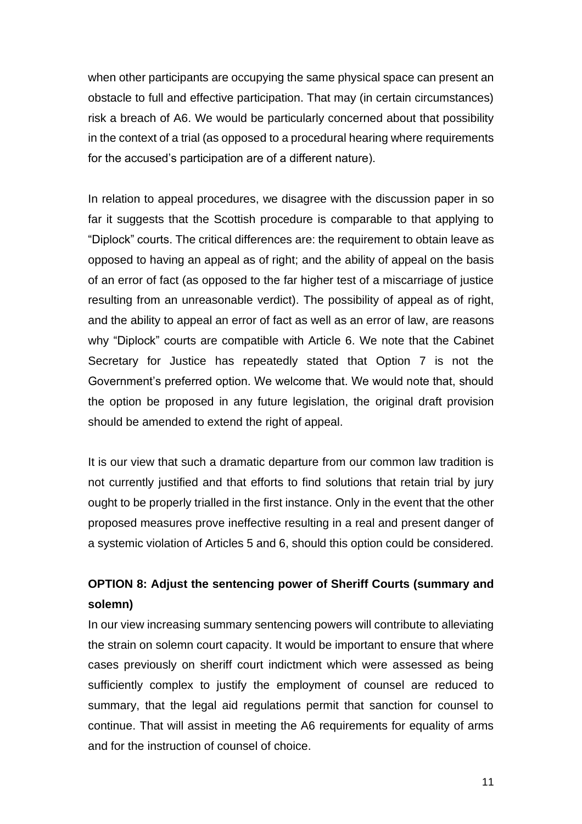when other participants are occupying the same physical space can present an obstacle to full and effective participation. That may (in certain circumstances) risk a breach of A6. We would be particularly concerned about that possibility in the context of a trial (as opposed to a procedural hearing where requirements for the accused's participation are of a different nature).

In relation to appeal procedures, we disagree with the discussion paper in so far it suggests that the Scottish procedure is comparable to that applying to "Diplock" courts. The critical differences are: the requirement to obtain leave as opposed to having an appeal as of right; and the ability of appeal on the basis of an error of fact (as opposed to the far higher test of a miscarriage of justice resulting from an unreasonable verdict). The possibility of appeal as of right, and the ability to appeal an error of fact as well as an error of law, are reasons why "Diplock" courts are compatible with Article 6. We note that the Cabinet Secretary for Justice has repeatedly stated that Option 7 is not the Government's preferred option. We welcome that. We would note that, should the option be proposed in any future legislation, the original draft provision should be amended to extend the right of appeal.

It is our view that such a dramatic departure from our common law tradition is not currently justified and that efforts to find solutions that retain trial by jury ought to be properly trialled in the first instance. Only in the event that the other proposed measures prove ineffective resulting in a real and present danger of a systemic violation of Articles 5 and 6, should this option could be considered.

# **OPTION 8: Adjust the sentencing power of Sheriff Courts (summary and solemn)**

In our view increasing summary sentencing powers will contribute to alleviating the strain on solemn court capacity. It would be important to ensure that where cases previously on sheriff court indictment which were assessed as being sufficiently complex to justify the employment of counsel are reduced to summary, that the legal aid regulations permit that sanction for counsel to continue. That will assist in meeting the A6 requirements for equality of arms and for the instruction of counsel of choice.